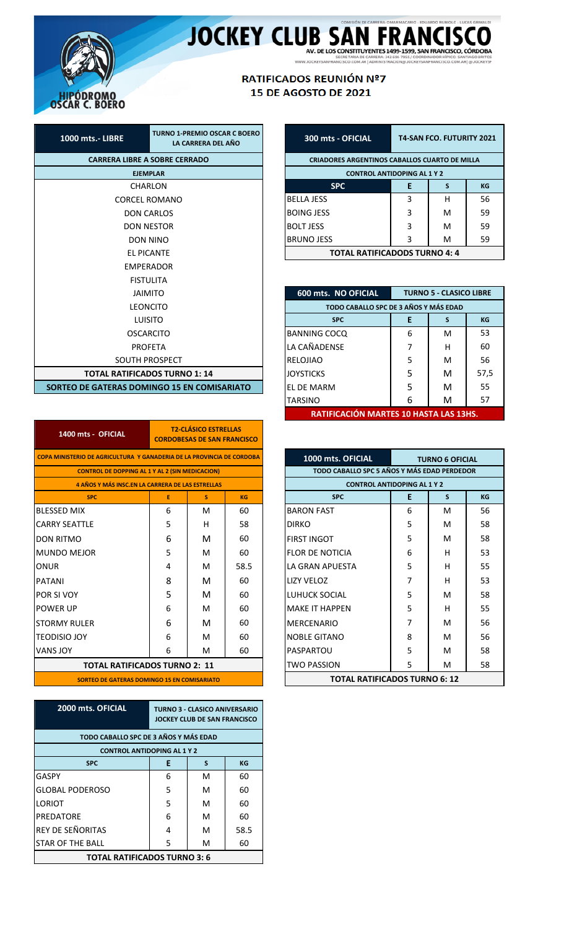

JOCKEY CLUB SAN FRANCISCO

## RATIFICADOS REUNIÓN Nº7 15 DE AGOSTO DE 2021

| <b>CARRERA LIBRE A SOBRE CERRADO</b>        |  |  |  |  |  |  |  |
|---------------------------------------------|--|--|--|--|--|--|--|
| <b>FIFMPLAR</b>                             |  |  |  |  |  |  |  |
| CHARLON                                     |  |  |  |  |  |  |  |
| <b>CORCEL ROMANO</b>                        |  |  |  |  |  |  |  |
| <b>DON CARLOS</b>                           |  |  |  |  |  |  |  |
| <b>DON NESTOR</b>                           |  |  |  |  |  |  |  |
| DON NINO                                    |  |  |  |  |  |  |  |
| <b>FL PICANTF</b>                           |  |  |  |  |  |  |  |
| <b>FMPFRADOR</b>                            |  |  |  |  |  |  |  |
| <b>FISTULITA</b>                            |  |  |  |  |  |  |  |
| <b>JAIMITO</b>                              |  |  |  |  |  |  |  |
| LEONCITO                                    |  |  |  |  |  |  |  |
| <b>LUISITO</b>                              |  |  |  |  |  |  |  |
| <b>OSCARCITO</b>                            |  |  |  |  |  |  |  |
| <b>PROFETA</b>                              |  |  |  |  |  |  |  |
| <b>SOUTH PROSPECT</b>                       |  |  |  |  |  |  |  |
| <b>TOTAL RATIFICADOS TURNO 1: 14</b>        |  |  |  |  |  |  |  |
| SORTEO DE GATERAS DOMINGO 15 EN COMISARIATO |  |  |  |  |  |  |  |

| <b>T2-CLÁSICO ESTRELLAS</b><br>1400 mts - OFICIAL<br><b>CORDOBESAS DE SAN FRANCISCO</b> |              |   |           |  |  |  |  |  |
|-----------------------------------------------------------------------------------------|--------------|---|-----------|--|--|--|--|--|
| COPA MINISTERIO DE AGRICULTURA Y GANADERIA DE LA PROVINCIA DE CORDOBA                   |              |   |           |  |  |  |  |  |
| <b>CONTROL DE DOPPING AL 1 Y AL 2 (SIN MEDICACION)</b>                                  |              |   |           |  |  |  |  |  |
| <b>4 AÑOS Y MÁS INSC.EN LA CARRERA DE LAS ESTRELLAS</b>                                 |              |   |           |  |  |  |  |  |
| <b>SPC</b>                                                                              | E            | s | <b>KG</b> |  |  |  |  |  |
| <b>BLESSED MIX</b>                                                                      | 6            | м | 60        |  |  |  |  |  |
| <b>CARRY SEATTLE</b>                                                                    | 5            | н | 58        |  |  |  |  |  |
| <b>DON RITMO</b>                                                                        | 6            | м | 60        |  |  |  |  |  |
| <b>MUNDO MEJOR</b>                                                                      | 5            | м | 60        |  |  |  |  |  |
| ONUR                                                                                    | 4            | м | 58.5      |  |  |  |  |  |
| <b>PATANI</b>                                                                           | 8            | м | 60        |  |  |  |  |  |
| POR SI VOY                                                                              | 5            | м | 60        |  |  |  |  |  |
| <b>POWER UP</b>                                                                         | 6            | M | 60        |  |  |  |  |  |
| <b>STORMY RULER</b>                                                                     | 6            | м | 60        |  |  |  |  |  |
| <b>TEODISIO JOY</b>                                                                     | 6            | м | 60        |  |  |  |  |  |
| <b>VANS JOY</b>                                                                         | 60<br>6<br>м |   |           |  |  |  |  |  |
| <b>TOTAL RATIFICADOS TURNO 2: 11</b>                                                    |              |   |           |  |  |  |  |  |
| SORTEO DE GATERAS DOMINGO 15 EN COMISARIATO                                             |              |   |           |  |  |  |  |  |

| 2000 mts. OFICIAL                     | <b>TURNO 3 - CLASICO ANIVERSARIO</b><br>JOCKEY CLUB DE SAN FRANCISCO |   |      |  |  |  |  |  |
|---------------------------------------|----------------------------------------------------------------------|---|------|--|--|--|--|--|
| TODO CABALLO SPC DE 3 AÑOS Y MÁS EDAD |                                                                      |   |      |  |  |  |  |  |
| <b>CONTROL ANTIDOPING AL 1 Y 2</b>    |                                                                      |   |      |  |  |  |  |  |
| <b>SPC</b>                            | E<br>S<br>KG                                                         |   |      |  |  |  |  |  |
| GASPY                                 | 6                                                                    | M | 60   |  |  |  |  |  |
| <b>GLOBAL PODEROSO</b>                | 5                                                                    | м | 60   |  |  |  |  |  |
| <b>LORIOT</b>                         | 5                                                                    | м | 60   |  |  |  |  |  |
| <b>PREDATORE</b>                      | 6                                                                    | м | 60   |  |  |  |  |  |
| <b>REY DE SEÑORITAS</b>               | 4                                                                    | м | 58.5 |  |  |  |  |  |
| STAR OF THE BALL                      | 5                                                                    | м | 60   |  |  |  |  |  |
| <b>TOTAL RATIFICADOS TURNO 3: 6</b>   |                                                                      |   |      |  |  |  |  |  |

| 300 mts - OFICIAL                                    | <b>T4-SAN FCO. FUTURITY 2021</b> |   |    |  |  |  |  |  |
|------------------------------------------------------|----------------------------------|---|----|--|--|--|--|--|
| <b>CRIADORES ARGENTINOS CABALLOS CUARTO DE MILLA</b> |                                  |   |    |  |  |  |  |  |
| <b>CONTROL ANTIDOPING AL 1 Y 2</b>                   |                                  |   |    |  |  |  |  |  |
| <b>SPC</b>                                           | E<br>KG<br>S                     |   |    |  |  |  |  |  |
| <b>BELLA JESS</b>                                    | 3                                | н | 56 |  |  |  |  |  |
| <b>BOING JESS</b>                                    | 3                                | м | 59 |  |  |  |  |  |
| <b>BOLT JESS</b>                                     | 3                                | м | 59 |  |  |  |  |  |
| <b>BRUNO JESS</b>                                    | 3                                | м | 59 |  |  |  |  |  |
| TOTAL RATIFICADODS TURNO 4: 4                        |                                  |   |    |  |  |  |  |  |

| 600 mts. NO OFICIAL<br><b>TURNO 5 - CLASICO LIBRE</b> |   |   |      |  |  |  |  |  |  |
|-------------------------------------------------------|---|---|------|--|--|--|--|--|--|
| TODO CABALLO SPC DE 3 AÑOS Y MÁS EDAD                 |   |   |      |  |  |  |  |  |  |
| Е<br><b>KG</b><br><b>SPC</b><br>s                     |   |   |      |  |  |  |  |  |  |
| <b>BANNING COCQ</b>                                   | 6 | м | 53   |  |  |  |  |  |  |
| LA CAÑADENSE                                          | 7 | н | 60   |  |  |  |  |  |  |
| RELOJIAO                                              | 5 | м | 56   |  |  |  |  |  |  |
| <b>JOYSTICKS</b>                                      | 5 | м | 57,5 |  |  |  |  |  |  |
| EL DE MARM                                            | 5 | м | 55   |  |  |  |  |  |  |
| <b>TARSINO</b>                                        | 6 | м | 57   |  |  |  |  |  |  |
| RATIFICACIÓN MARTES 10 HASTA LAS 13HS                 |   |   |      |  |  |  |  |  |  |

| 1000 mts. OFICIAL<br><b>TURNO 6 OFICIAL</b> |   |   |    |  |  |  |  |  |  |
|---------------------------------------------|---|---|----|--|--|--|--|--|--|
| TODO CABALLO SPC 5 AÑOS Y MÁS EDAD PERDEDOR |   |   |    |  |  |  |  |  |  |
| <b>CONTROL ANTIDOPING AL 1 Y 2</b>          |   |   |    |  |  |  |  |  |  |
| E<br><b>SPC</b><br>$\mathbf{s}$<br>KG       |   |   |    |  |  |  |  |  |  |
| <b>BARON FAST</b>                           | 6 | м | 56 |  |  |  |  |  |  |
| <b>DIRKO</b>                                | 5 | м | 58 |  |  |  |  |  |  |
| <b>FIRST INGOT</b>                          | 5 | м | 58 |  |  |  |  |  |  |
| <b>FLOR DE NOTICIA</b>                      | 6 | н | 53 |  |  |  |  |  |  |
| LA GRAN APUFSTA                             | 5 | н | 55 |  |  |  |  |  |  |
| LIZY VFLOZ                                  | 7 | н | 53 |  |  |  |  |  |  |
| LUHUCK SOCIAL                               | 5 | м | 58 |  |  |  |  |  |  |
| <b>MAKE IT HAPPEN</b>                       | 5 | н | 55 |  |  |  |  |  |  |
| <b>MERCENARIO</b>                           | 7 | м | 56 |  |  |  |  |  |  |
| <b>NOBLE GITANO</b>                         | 8 | м | 56 |  |  |  |  |  |  |
| PASPARTOU                                   | 5 | м | 58 |  |  |  |  |  |  |
| <b>TWO PASSION</b>                          | 5 | м | 58 |  |  |  |  |  |  |
| <b>TOTAL RATIFICADOS TURNO 6: 12</b>        |   |   |    |  |  |  |  |  |  |